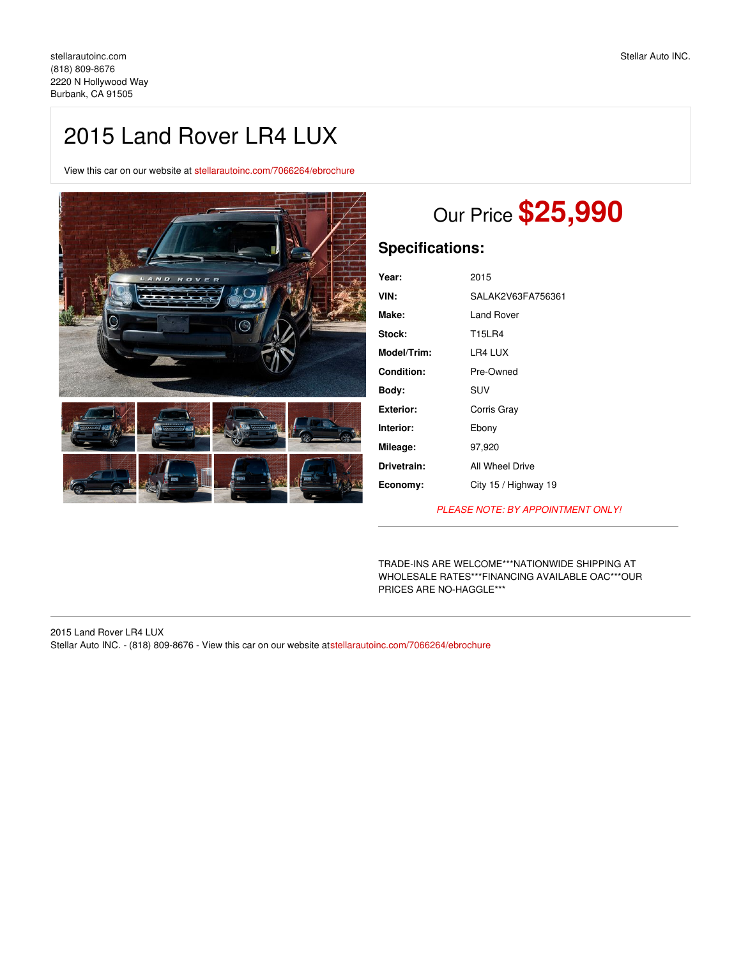## 2015 Land Rover LR4 LUX

View this car on our website at [stellarautoinc.com/7066264/ebrochure](https://stellarautoinc.com/vehicle/7066264/2015-land-rover-lr4-lux-burbank-ca-91505/7066264/ebrochure)



# Our Price **\$25,990**

## **Specifications:**

| Year:            | 2015                 |
|------------------|----------------------|
| VIN:             | SALAK2V63FA756361    |
| Make:            | Land Rover           |
| Stock:           | T15LR4               |
| Model/Trim:      | LR4 LUX              |
| Condition:       | Pre-Owned            |
| Body:            | SUV                  |
| <b>Exterior:</b> | Corris Gray          |
| Interior:        | Ebony                |
| Mileage:         | 97,920               |
| Drivetrain:      | All Wheel Drive      |
| Economy:         | City 15 / Highway 19 |
|                  |                      |

*PLEASE NOTE: BY APPOINTMENT ONLY!*

TRADE-INS ARE WELCOME\*\*\*NATIONWIDE SHIPPING AT WHOLESALE RATES\*\*\*FINANCING AVAILABLE OAC\*\*\*OUR PRICES ARE NO-HAGGLE\*\*\*

2015 Land Rover LR4 LUX Stellar Auto INC. - (818) 809-8676 - View this car on our website at[stellarautoinc.com/7066264/ebrochure](https://stellarautoinc.com/vehicle/7066264/2015-land-rover-lr4-lux-burbank-ca-91505/7066264/ebrochure)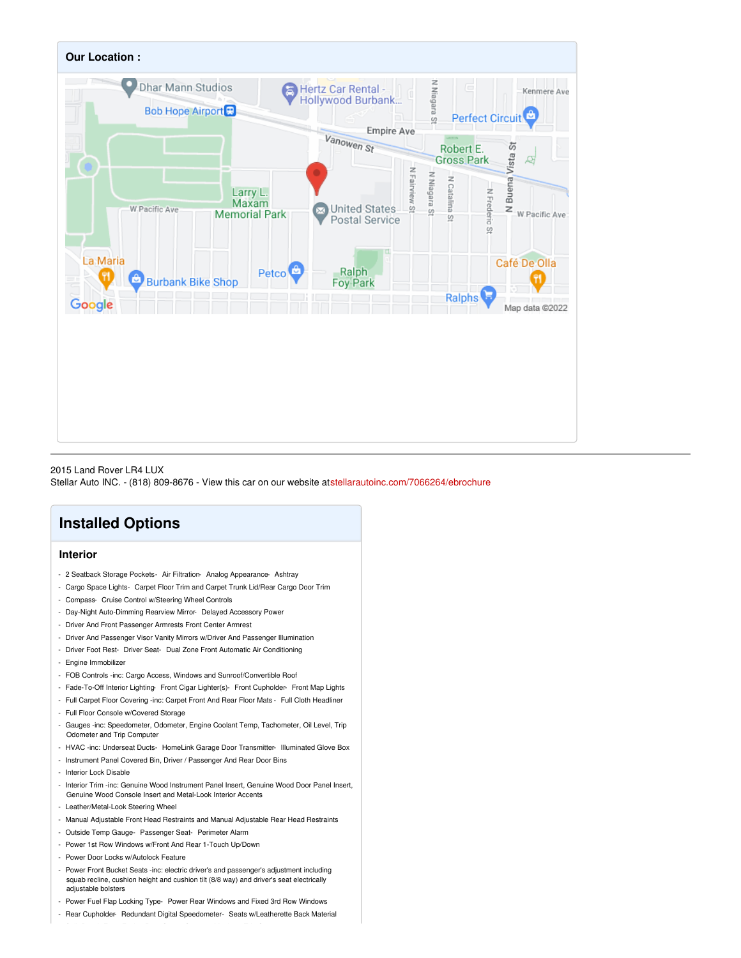

### 2015 Land Rover LR4 LUX

Stellar Auto INC. - (818) 809-8676 - View this car on our website at[stellarautoinc.com/7066264/ebrochure](https://stellarautoinc.com/vehicle/7066264/2015-land-rover-lr4-lux-burbank-ca-91505/7066264/ebrochure)

## **Installed Options**

## **Interior**

- 2 Seatback Storage Pockets- Air Filtration- Analog Appearance- Ashtray
- Cargo Space Lights- Carpet Floor Trim and Carpet Trunk Lid/Rear Cargo Door Trim
- Compass- Cruise Control w/Steering Wheel Controls
- Day-Night Auto-Dimming Rearview Mirror- Delayed Accessory Power
- Driver And Front Passenger Armrests Front Center Armrest
- Driver And Passenger Visor Vanity Mirrors w/Driver And Passenger Illumination
- Driver Foot Rest- Driver Seat- Dual Zone Front Automatic Air Conditioning
- Engine Immobilizer
- FOB Controls -inc: Cargo Access, Windows and Sunroof/Convertible Roof
- Fade-To-Off Interior Lighting- Front Cigar Lighter(s)- Front Cupholder- Front Map Lights
- Full Carpet Floor Covering -inc: Carpet Front And Rear Floor Mats Full Cloth Headliner
- Full Floor Console w/Covered Storage
- Gauges -inc: Speedometer, Odometer, Engine Coolant Temp, Tachometer, Oil Level, Trip Odometer and Trip Computer
- HVAC -inc: Underseat Ducts- HomeLink Garage Door Transmitter- Illuminated Glove Box
- Instrument Panel Covered Bin, Driver / Passenger And Rear Door Bins
- Interior Lock Disable
- Interior Trim -inc: Genuine Wood Instrument Panel Insert, Genuine Wood Door Panel Insert, Genuine Wood Console Insert and Metal-Look Interior Accents
- Leather/Metal-Look Steering Wheel
- Manual Adjustable Front Head Restraints and Manual Adjustable Rear Head Restraints
- Outside Temp Gauge- Passenger Seat- Perimeter Alarm
- Power 1st Row Windows w/Front And Rear 1-Touch Up/Down
- Power Door Locks w/Autolock Feature
- Power Front Bucket Seats -inc: electric driver's and passenger's adjustment including squab recline, cushion height and cushion tilt (8/8 way) and driver's seat electrically adjustable bolsters
- Power Fuel Flap Locking Type- Power Rear Windows and Fixed 3rd Row Windows
- Rear Cupholder- Redundant Digital Speedometer- Seats w/Leatherette Back Material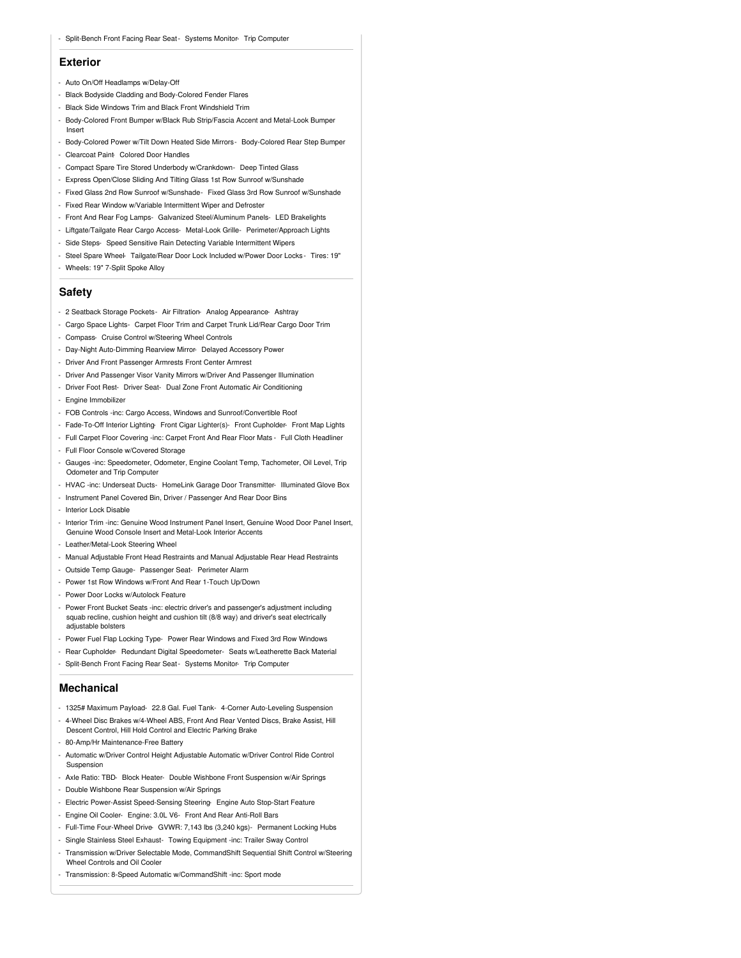#### **Exterior**

- Auto On/Off Headlamps w/Delay-Off
- Black Bodyside Cladding and Body-Colored Fender Flares
- Black Side Windows Trim and Black Front Windshield Trim
- Body-Colored Front Bumper w/Black Rub Strip/Fascia Accent and Metal-Look Bumper Insert
- Body-Colored Power w/Tilt Down Heated Side Mirrors- Body-Colored Rear Step Bumper
- Clearcoat Paint- Colored Door Handles
- Compact Spare Tire Stored Underbody w/Crankdown- Deep Tinted Glass
- Express Open/Close Sliding And Tilting Glass 1st Row Sunroof w/Sunshade
- Fixed Glass 2nd Row Sunroof w/Sunshade- Fixed Glass 3rd Row Sunroof w/Sunshade
- Fixed Rear Window w/Variable Intermittent Wiper and Defroster
- Front And Rear Fog Lamps- Galvanized Steel/Aluminum Panels- LED Brakelights
- Liftgate/Tailgate Rear Cargo Access- Metal-Look Grille- Perimeter/Approach Lights
- Side Steps- Speed Sensitive Rain Detecting Variable Intermittent Wipers
- Steel Spare Wheel- Tailgate/Rear Door Lock Included w/Power Door Locks Tires: 19" - Wheels: 19" 7-Split Spoke Alloy

## **Safety**

- 2 Seatback Storage Pockets- Air Filtration- Analog Appearance- Ashtray
- Cargo Space Lights- Carpet Floor Trim and Carpet Trunk Lid/Rear Cargo Door Trim
- Compass- Cruise Control w/Steering Wheel Controls
- Day-Night Auto-Dimming Rearview Mirror- Delayed Accessory Power
- Driver And Front Passenger Armrests Front Center Armrest
- Driver And Passenger Visor Vanity Mirrors w/Driver And Passenger Illumination
- Driver Foot Rest- Driver Seat- Dual Zone Front Automatic Air Conditioning
- Engine Immobilizer
- FOB Controls -inc: Cargo Access, Windows and Sunroof/Convertible Roof
- Fade-To-Off Interior Lighting- Front Cigar Lighter(s)- Front Cupholder- Front Map Lights
- Full Carpet Floor Covering -inc: Carpet Front And Rear Floor Mats Full Cloth Headliner - Full Floor Console w/Covered Storage
- 
- Gauges -inc: Speedometer, Odometer, Engine Coolant Temp, Tachometer, Oil Level, Trip Odometer and Trip Computer
- HVAC -inc: Underseat Ducts- HomeLink Garage Door Transmitter- Illuminated Glove Box
- Instrument Panel Covered Bin, Driver / Passenger And Rear Door Bins
- Interior Lock Disable
- Interior Trim -inc: Genuine Wood Instrument Panel Insert, Genuine Wood Door Panel Insert, Genuine Wood Console Insert and Metal-Look Interior Accents
- Leather/Metal-Look Steering Wheel
- Manual Adjustable Front Head Restraints and Manual Adjustable Rear Head Restraints
- Outside Temp Gauge- Passenger Seat- Perimeter Alarm
- Power 1st Row Windows w/Front And Rear 1-Touch Up/Down
- Power Door Locks w/Autolock Feature
- Power Front Bucket Seats -inc: electric driver's and passenger's adjustment including squab recline, cushion height and cushion tilt (8/8 way) and driver's seat electrically adjustable bolsters
- Power Fuel Flap Locking Type- Power Rear Windows and Fixed 3rd Row Windows
- Rear Cupholder- Redundant Digital Speedometer- Seats w/Leatherette Back Material
- Split-Bench Front Facing Rear Seat- Systems Monitor- Trip Computer

#### **Mechanical**

- 1325# Maximum Payload- 22.8 Gal. Fuel Tank- 4-Corner Auto-Leveling Suspension
- 4-Wheel Disc Brakes w/4-Wheel ABS, Front And Rear Vented Discs, Brake Assist, Hill Descent Control, Hill Hold Control and Electric Parking Brake
- 80-Amp/Hr Maintenance-Free Battery
- Automatic w/Driver Control Height Adjustable Automatic w/Driver Control Ride Control Suspension
- Axle Ratio: TBD- Block Heater- Double Wishbone Front Suspension w/Air Springs
- Double Wishbone Rear Suspension w/Air Springs
- Electric Power-Assist Speed-Sensing Steering- Engine Auto Stop-Start Feature
- Engine Oil Cooler- Engine: 3.0L V6- Front And Rear Anti-Roll Bars
- Full-Time Four-Wheel Drive- GVWR: 7,143 lbs (3,240 kgs)- Permanent Locking Hubs
- Single Stainless Steel Exhaust- Towing Equipment -inc: Trailer Sway Control
- Transmission w/Driver Selectable Mode, CommandShift Sequential Shift Control w/Steering Wheel Controls and Oil Cooler
- Transmission: 8-Speed Automatic w/CommandShift -inc: Sport mode